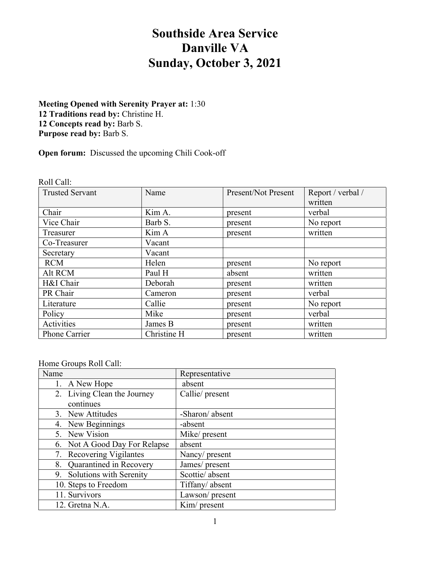# **Southside Area Service Danville VA Sunday, October 3, 2021**

# **Meeting Opened with Serenity Prayer at:** 1:30 12 Traditions read by: Christine H. **12 Concepts read by:** Barb S. **Purpose read by:** Barb S.

**Open forum:** Discussed the upcoming Chili Cook-off

Roll Call:

| <b>Trusted Servant</b> | Name        | Present/Not Present | Report / verbal / |
|------------------------|-------------|---------------------|-------------------|
|                        |             |                     | written           |
| Chair                  | Kim A.      | present             | verbal            |
| Vice Chair             | Barb S.     | present             | No report         |
| Treasurer              | Kim A       | present             | written           |
| Co-Treasurer           | Vacant      |                     |                   |
| Secretary              | Vacant      |                     |                   |
| <b>RCM</b>             | Helen       | present             | No report         |
| Alt RCM                | Paul H      | absent              | written           |
| H&I Chair              | Deborah     | present             | written           |
| PR Chair               | Cameron     | present             | verbal            |
| Literature             | Callie      | present             | No report         |
| Policy                 | Mike        | present             | verbal            |
| Activities             | James B     | present             | written           |
| Phone Carrier          | Christine H | present             | written           |

# Home Groups Roll Call:

| Name |                               | Representative  |
|------|-------------------------------|-----------------|
|      | 1. A New Hope                 | absent          |
|      | 2. Living Clean the Journey   | Callie/ present |
|      | continues                     |                 |
|      | 3. New Attitudes              | -Sharon/absent  |
|      | 4. New Beginnings             | -absent         |
|      | 5. New Vision                 | Mike/ present   |
|      | 6. Not A Good Day For Relapse | absent          |
|      | 7. Recovering Vigilantes      | Nancy/ present  |
|      | 8. Quarantined in Recovery    | James/ present  |
|      | 9. Solutions with Serenity    | Scottie/ absent |
|      | 10. Steps to Freedom          | Tiffany/absent  |
|      | 11. Survivors                 | Lawson/ present |
|      | 12. Gretna N.A.               | Kim/ present    |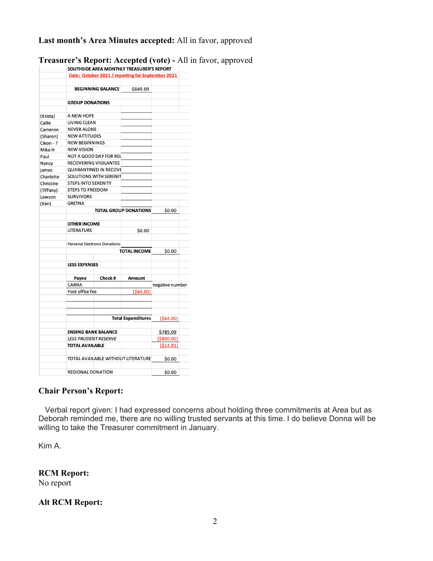# **Last month's Area Minutes accepted:** All in favor, approved

|           |                            |                                      | SOUTHSIDE AREA MONTHLY TREASURER'S REPORT         |                 |  |
|-----------|----------------------------|--------------------------------------|---------------------------------------------------|-----------------|--|
|           |                            |                                      | Date: October 2021 / reporting for September 2021 |                 |  |
|           |                            | <b>BEGINNING BALANCE</b>             |                                                   |                 |  |
|           |                            |                                      | \$849.09                                          |                 |  |
|           | <b>GROUP DONATIONS</b>     |                                      |                                                   |                 |  |
|           |                            |                                      |                                                   |                 |  |
| (Krista)  | A NEW HOPE                 |                                      |                                                   |                 |  |
| Callie    |                            | LIVING CLEAN                         |                                                   |                 |  |
| Cameron   | <b>NEVER ALONE</b>         |                                      |                                                   |                 |  |
| (Sharon)  |                            | <b>NEW ATTITUDES</b>                 |                                                   |                 |  |
| Cleon - ? | <b>NEW BEGINNINGS</b>      |                                      |                                                   |                 |  |
| Mike H    | <b>NEW VISION</b>          |                                      |                                                   |                 |  |
| Paul      |                            | NOT A GOOD DAY FOR REL               |                                                   |                 |  |
| Nancy     |                            | RECOVERING VIGILANTES                |                                                   |                 |  |
| james     |                            | <b>QUARANTINED IN RECOVE</b>         |                                                   |                 |  |
| Charlotte |                            | <b>SOLUTIONS WITH SERENIT</b>        |                                                   |                 |  |
| Christine | <b>STEPS INTO SERENITY</b> |                                      |                                                   |                 |  |
| (Tiffany) | <b>STEPS TO FREEDOM</b>    |                                      |                                                   |                 |  |
| Lawson    | <b>SURVIVORS</b>           |                                      |                                                   |                 |  |
| (Kim)     | <b>GRETNA</b>              |                                      |                                                   |                 |  |
|           |                            |                                      | <b>TOTAL GROUP DONATIONS</b>                      | \$0.00          |  |
|           |                            |                                      |                                                   |                 |  |
|           | <b>OTHER INCOME</b>        |                                      |                                                   |                 |  |
|           | LITERATURE                 |                                      | \$0.00                                            |                 |  |
|           |                            |                                      |                                                   |                 |  |
|           |                            | <b>Personal Electronic Donations</b> |                                                   |                 |  |
|           |                            |                                      | <b>TOTAL INCOME</b>                               | \$0.00          |  |
|           |                            |                                      |                                                   |                 |  |
|           | <b>LESS EXPENSES</b>       |                                      |                                                   |                 |  |
|           |                            |                                      |                                                   |                 |  |
|           | Payee                      | Check#                               | Amount                                            |                 |  |
|           | CARNA                      |                                      |                                                   | negative number |  |
|           | Post office fee            |                                      | ( \$64.00)                                        |                 |  |
|           |                            |                                      |                                                   |                 |  |
|           |                            |                                      | <b>Total Expenditures</b>                         | (564.00)        |  |
|           | <b>ENDING BANK BALANCE</b> |                                      | \$785.09                                          |                 |  |
|           | LESS PRUDENT RESERVE       |                                      | ( \$800.00)                                       |                 |  |
|           | <b>TOTAL AVAILABLE</b>     |                                      |                                                   | (514.91)        |  |
|           |                            |                                      | TOTAL AVAILABLE WITHOUT LITERATURE                | \$0.00          |  |
|           | <b>REGIONAL DONATION</b>   |                                      | \$0.00                                            |                 |  |
|           |                            |                                      |                                                   |                 |  |

**Treasurer's Report: Accepted (vote) -** All in favor, approved

# **Chair Person's Report:**

 Verbal report given: I had expressed concerns about holding three commitments at Area but as Deborah reminded me, there are no willing trusted servants at this time. I do believe Donna will be willing to take the Treasurer commitment in January.

Kim A.

**RCM Report:** No report

#### **Alt RCM Report:**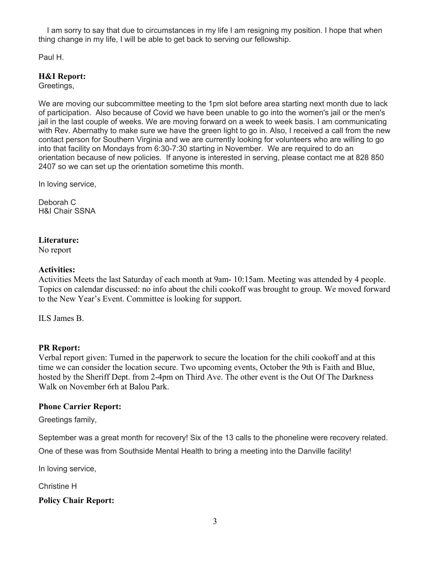I am sorry to say that due to circumstances in my life I am resigning my position. I hope that when thing change in my life, I will be able to get back to serving our fellowship.

Paul H.

# **H&I Report:**

Greetings,

We are moving our subcommittee meeting to the 1pm slot before area starting next month due to lack of participation. Also because of Covid we have been unable to go into the women's jail or the men's jail in the last couple of weeks. We are moving forward on a week to week basis. I am communicating with Rev. Abernathy to make sure we have the green light to go in. Also, I received a call from the new contact person for Southern Virginia and we are currently looking for volunteers who are willing to go into that facility on Mondays from 6:30-7:30 starting in November. We are required to do an orientation because of new policies. If anyone is interested in serving, please contact me at 828 850 2407 so we can set up the orientation sometime this month.

In loving service,

Deborah C H&I Chair SSNA

#### **Literature:**

No report

# **Activities:**

Activities Meets the last Saturday of each month at 9am- 10:15am. Meeting was attended by 4 people. Topics on calendar discussed: no info about the chili cookoff was brought to group. We moved forward to the New Year's Event. Committee is looking for support.

ILS James B.

# **PR Report:**

Verbal report given: Turned in the paperwork to secure the location for the chili cookoff and at this time we can consider the location secure. Two upcoming events, October the 9th is Faith and Blue, hosted by the Sheriff Dept. from 2-4pm on Third Ave. The other event is the Out Of The Darkness Walk on November 6rh at Balou Park.

# **Phone Carrier Report:**

Greetings family,

September was a great month for recovery! Six of the 13 calls to the phoneline were recovery related.

One of these was from Southside Mental Health to bring a meeting into the Danville facility!

In loving service,

Christine H

**Policy Chair Report:**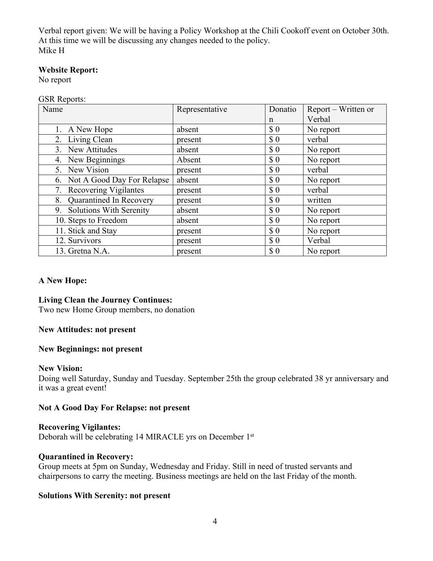Verbal report given: We will be having a Policy Workshop at the Chili Cookoff event on October 30th. At this time we will be discussing any changes needed to the policy. Mike H

# **Website Report:**

No report

#### GSR Reports:

| Name                          | Representative | Donatio                     | Report – Written or |
|-------------------------------|----------------|-----------------------------|---------------------|
|                               |                | $\mathsf{n}$                | Verbal              |
| 1. A New Hope                 | absent         | $\boldsymbol{\mathsf{S}}$ 0 | No report           |
| 2. Living Clean               | present        | $\boldsymbol{\mathsf{S}}$ 0 | verbal              |
| 3. New Attitudes              | absent         | $\boldsymbol{\mathsf{S}}$ 0 | No report           |
| 4. New Beginnings             | Absent         | $\boldsymbol{\mathsf{S}}$ 0 | No report           |
| 5. New Vision                 | present        | $\boldsymbol{\mathsf{S}}$ 0 | verbal              |
| 6. Not A Good Day For Relapse | absent         | \$0                         | No report           |
| 7. Recovering Vigilantes      | present        | $\boldsymbol{\mathsf{S}}$ 0 | verbal              |
| 8. Quarantined In Recovery    | present        | $\boldsymbol{\$}\ 0$        | written             |
| 9. Solutions With Serenity    | absent         | $\Omega$                    | No report           |
| 10. Steps to Freedom          | absent         | $\boldsymbol{\mathsf{S}}$ 0 | No report           |
| 11. Stick and Stay            | present        | $\boldsymbol{\mathsf{S}}$ 0 | No report           |
| 12. Survivors                 | present        | $\boldsymbol{\mathsf{S}}$ 0 | Verbal              |
| 13. Gretna N.A.               | present        | \$0                         | No report           |

# **A New Hope:**

#### **Living Clean the Journey Continues:**

Two new Home Group members, no donation

#### **New Attitudes: not present**

#### **New Beginnings: not present**

#### **New Vision:**

Doing well Saturday, Sunday and Tuesday. September 25th the group celebrated 38 yr anniversary and it was a great event!

# **Not A Good Day For Relapse: not present**

# **Recovering Vigilantes:**

Deborah will be celebrating 14 MIRACLE yrs on December 1st

#### **Quarantined in Recovery:**

Group meets at 5pm on Sunday, Wednesday and Friday. Still in need of trusted servants and chairpersons to carry the meeting. Business meetings are held on the last Friday of the month.

#### **Solutions With Serenity: not present**